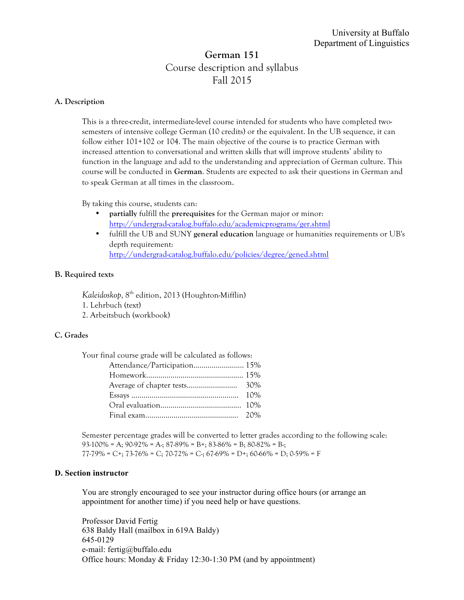# **German 151** Course description and syllabus Fall 2015

# **A. Description**

This is a three-credit, intermediate-level course intended for students who have completed twosemesters of intensive college German (10 credits) or the equivalent. In the UB sequence, it can follow either 101+102 or 104. The main objective of the course is to practice German with increased attention to conversational and written skills that will improve students' ability to function in the language and add to the understanding and appreciation of German culture. This course will be conducted in **German**. Students are expected to ask their questions in German and to speak German at all times in the classroom.

By taking this course, students can:

- **partially** fulfill the **prerequisites** for the German major or minor: http://undergrad-catalog.buffalo.edu/academicprograms/ger.shtml
- fulfill the UB and SUNY **general education** language or humanities requirements or UB's depth requirement: http://undergrad-catalog.buffalo.edu/policies/degree/gened.shtml

## **B. Required texts**

*Kaleidoskop*, 8th edition, 2013 (Houghton-Mifflin)

- 1. Lehrbuch (text)
- 2. Arbeitsbuch (workbook)

## **C. Grades**

| Your final course grade will be calculated as follows: |  |
|--------------------------------------------------------|--|
|--------------------------------------------------------|--|

Semester percentage grades will be converted to letter grades according to the following scale:  $93-100\%$  = A;  $90-92\%$  = A;  $87-89\%$  = B+;  $83-86\%$  = B;  $80-82\%$  = B-;  $77-79\%$  = C+;  $73-76\%$  = C;  $70-72\%$  = C;  $67-69\%$  = D+;  $60-66\%$  = D;  $0.59\%$  = F

# **D. Section instructor**

You are strongly encouraged to see your instructor during office hours (or arrange an appointment for another time) if you need help or have questions.

Professor David Fertig 638 Baldy Hall (mailbox in 619A Baldy) 645-0129 e-mail: fertig@buffalo.edu Office hours: Monday & Friday 12:30-1:30 PM (and by appointment)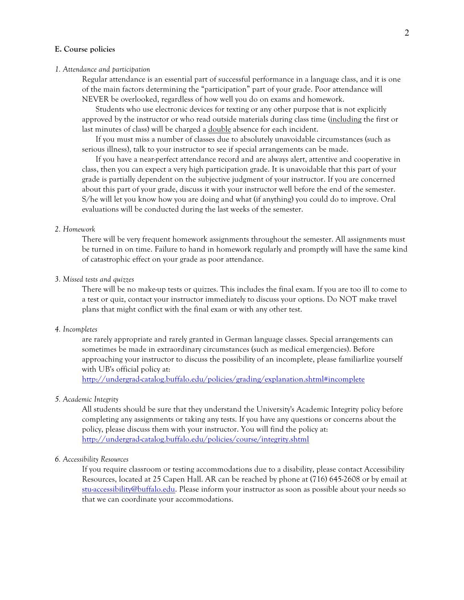#### **E. Course policies**

#### *1. Attendance and participation*

Regular attendance is an essential part of successful performance in a language class, and it is one of the main factors determining the "participation" part of your grade. Poor attendance will NEVER be overlooked, regardless of how well you do on exams and homework.

Students who use electronic devices for texting or any other purpose that is not explicitly approved by the instructor or who read outside materials during class time (including the first or last minutes of class) will be charged a double absence for each incident.

If you must miss a number of classes due to absolutely unavoidable circumstances (such as serious illness), talk to your instructor to see if special arrangements can be made.

If you have a near-perfect attendance record and are always alert, attentive and cooperative in class, then you can expect a very high participation grade. It is unavoidable that this part of your grade is partially dependent on the subjective judgment of your instructor. If you are concerned about this part of your grade, discuss it with your instructor well before the end of the semester. S/he will let you know how you are doing and what (if anything) you could do to improve. Oral evaluations will be conducted during the last weeks of the semester.

#### *2. Homework*

There will be very frequent homework assignments throughout the semester. All assignments must be turned in on time. Failure to hand in homework regularly and promptly will have the same kind of catastrophic effect on your grade as poor attendance.

#### *3. Missed tests and quizzes*

There will be no make-up tests or quizzes. This includes the final exam. If you are too ill to come to a test or quiz, contact your instructor immediately to discuss your options. Do NOT make travel plans that might conflict with the final exam or with any other test.

#### *4. Incompletes*

are rarely appropriate and rarely granted in German language classes. Special arrangements can sometimes be made in extraordinary circumstances (such as medical emergencies). Before approaching your instructor to discuss the possibility of an incomplete, please familiarlize yourself with UB's official policy at:

http://undergrad-catalog.buffalo.edu/policies/grading/explanation.shtml#incomplete

### *5. Academic Integrity*

All students should be sure that they understand the University's Academic Integrity policy before completing any assignments or taking any tests. If you have any questions or concerns about the policy, please discuss them with your instructor. You will find the policy at: http://undergrad-catalog.buffalo.edu/policies/course/integrity.shtml

#### *6. Accessibility Resources*

If you require classroom or testing accommodations due to a disability, please contact Accessibility Resources, located at 25 Capen Hall. AR can be reached by phone at (716) 645-2608 or by email at stu-accessibility@buffalo.edu. Please inform your instructor as soon as possible about your needs so that we can coordinate your accommodations.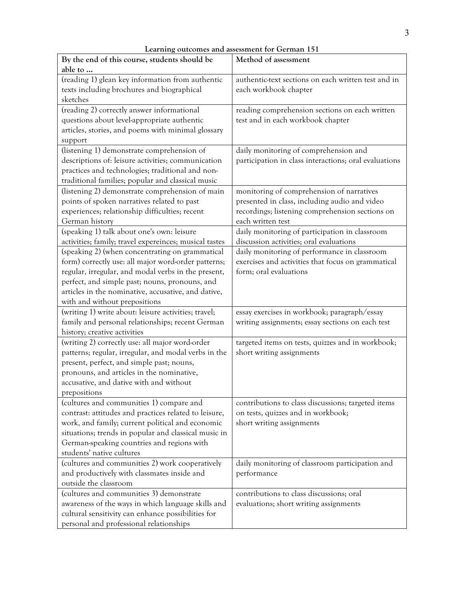| By the end of this course, students should be          | Method of assessment                                  |  |
|--------------------------------------------------------|-------------------------------------------------------|--|
| able to                                                |                                                       |  |
| (reading 1) glean key information from authentic       | authentic-text sections on each written test and in   |  |
| texts including brochures and biographical             | each workbook chapter                                 |  |
| sketches                                               |                                                       |  |
| (reading 2) correctly answer informational             | reading comprehension sections on each written        |  |
| questions about level-appropriate authentic            | test and in each workbook chapter                     |  |
| articles, stories, and poems with minimal glossary     |                                                       |  |
| support                                                |                                                       |  |
| (listening 1) demonstrate comprehension of             | daily monitoring of comprehension and                 |  |
| descriptions of: leisure activities; communication     | participation in class interactions; oral evaluations |  |
| practices and technologies; traditional and non-       |                                                       |  |
| traditional families; popular and classical music      |                                                       |  |
| (listening 2) demonstrate comprehension of main        | monitoring of comprehension of narratives             |  |
| points of spoken narratives related to past            | presented in class, including audio and video         |  |
| experiences; relationship difficulties; recent         | recordings; listening comprehension sections on       |  |
| German history                                         | each written test                                     |  |
| (speaking 1) talk about one's own: leisure             | daily monitoring of participation in classroom        |  |
| activities; family; travel expereinces; musical tastes | discussion activities; oral evaluations               |  |
| (speaking 2) (when concentrating on grammatical        | daily monitoring of performance in classroom          |  |
| form) correctly use: all major word-order patterns;    | exercises and activities that focus on grammatical    |  |
| regular, irregular, and modal verbs in the present,    | form; oral evaluations                                |  |
| perfect, and simple past; nouns, pronouns, and         |                                                       |  |
| articles in the nominative, accusative, and dative,    |                                                       |  |
| with and without prepositions                          |                                                       |  |
| (writing 1) write about: leisure activities; travel;   | essay exercises in workbook; paragraph/essay          |  |
| family and personal relationships; recent German       | writing assignments; essay sections on each test      |  |
| history; creative activities                           |                                                       |  |
| (writing 2) correctly use: all major word-order        | targeted items on tests, quizzes and in workbook;     |  |
| patterns; regular, irregular, and modal verbs in the   | short writing assignments                             |  |
| present, perfect, and simple past; nouns,              |                                                       |  |
| pronouns, and articles in the nominative,              |                                                       |  |
| accusative, and dative with and without                |                                                       |  |
| prepositions                                           |                                                       |  |
| (cultures and communities 1) compare and               | contributions to class discussions; targeted items    |  |
| contrast: attitudes and practices related to leisure,  | on tests, quizzes and in workbook;                    |  |
| work, and family; current political and economic       | short writing assignments                             |  |
| situations; trends in popular and classical music in   |                                                       |  |
| German-speaking countries and regions with             |                                                       |  |
| students' native cultures                              |                                                       |  |
| (cultures and communities 2) work cooperatively        | daily monitoring of classroom participation and       |  |
| and productively with classmates inside and            | performance                                           |  |
| outside the classroom                                  |                                                       |  |
| (cultures and communities 3) demonstrate               | contributions to class discussions; oral              |  |
| awareness of the ways in which language skills and     | evaluations; short writing assignments                |  |
| cultural sensitivity can enhance possibilities for     |                                                       |  |

personal and professional relationships

**Learning outcomes and assessment for German 151**

٦